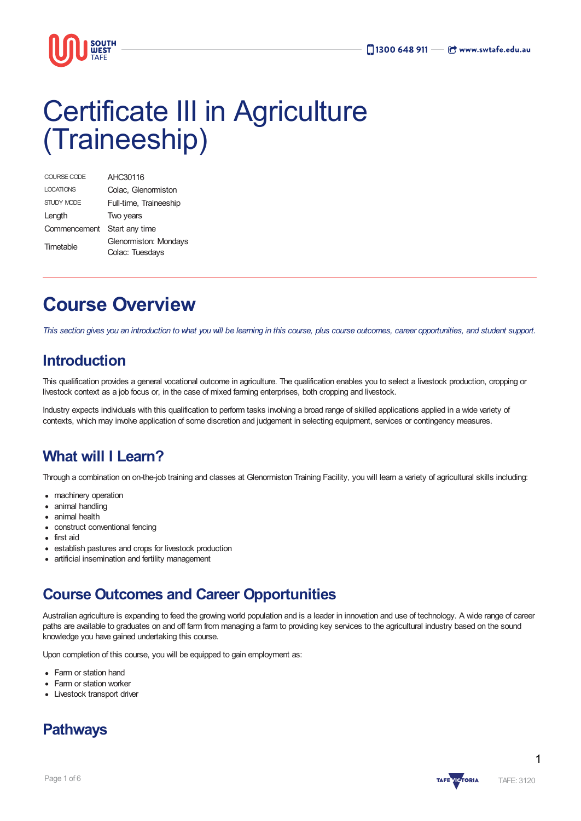

# Certificate III in Agriculture (Traineeship)

| COURSE CODE      | AHC30116                                 |
|------------------|------------------------------------------|
| <b>LOCATIONS</b> | Colac, Glenormiston                      |
| STUDY MODE       | Full-time, Traineeship                   |
| Length           | Two years                                |
| Commencement     | Start any time                           |
| Timetable        | Glenormiston: Mondays<br>Colac: Tuesdays |

# **Course Overview**

This section gives you an introduction to what you will be leaming in this course, plus course outcomes, career opportunities, and student support.

### **Introduction**

This qualification provides a general vocational outcome in agriculture. The qualification enables you to select a livestock production, cropping or livestock context as a job focus or, in the case of mixed farming enterprises, both cropping and livestock.

Industry expects individuals with this qualification to perform tasks involving a broad range of skilled applications applied in a wide variety of contexts, which may involve application of some discretion and judgement in selecting equipment, services or contingency measures.

### **What will I Learn?**

Through a combination on on-the-job training and classes at Glenormiston Training Facility, you will learn a variety of agricultural skills including:

- machinery operation
- animal handling
- animal health
- construct conventional fencing
- first aid
- establish pastures and crops for livestock production
- artificial insemination and fertility management

### **Course Outcomes and Career Opportunities**

Australian agriculture is expanding to feed the growing world population and is a leader in innovation and use of technology. A wide range of career paths are available to graduates on and off farm from managing a farm to providing key services to the agricultural industry based on the sound knowledge you have gained undertaking this course.

Upon completion of this course, you will be equipped to gain employment as:

- Farm or station hand
- Farm or station worker
- Livestock transport driver





1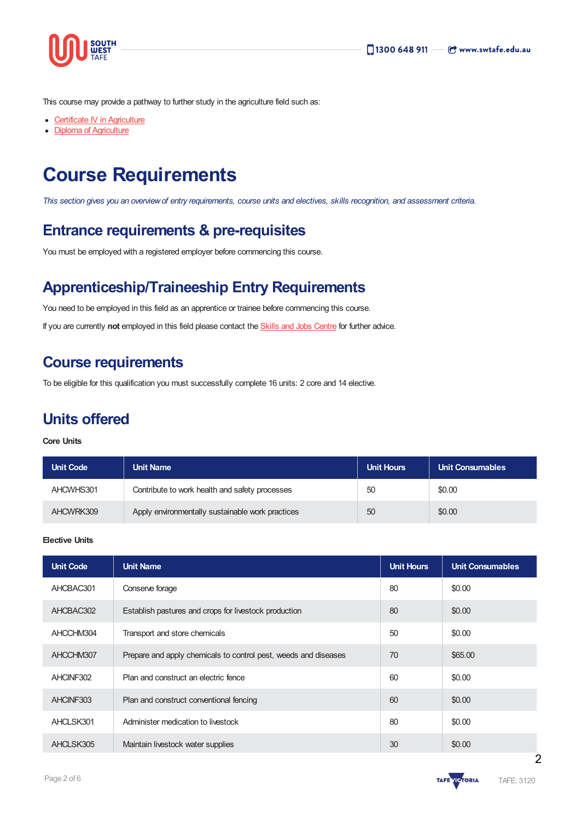

This course may provide a pathway to further study in the agriculture field such as:

- Certificate IV in [Agriculture](https://www.swtafe.edu.au/courses/agriculture-conservation-horticulture/certificate-iv-in-agriculture)
- Diploma of [Agriculture](https://www.swtafe.edu.au/courses/agriculture-conservation-horticulture/diploma-of-agriculture)

# **Course Requirements**

This section gives you an overview of entry requirements, course units and electives, skills recognition, and assessment criteria.

### **Entrance requirements & pre-requisites**

You must be employed with a registered employer before commencing this course.

### **Apprenticeship/Traineeship Entry Requirements**

You need to be employed in this field as an apprentice or trainee before commencing this course.

If you are currently **not** employed in this field please contact the Skills and Jobs [Centre](https://www.swskillsandjobscentre.com.au/) for further advice.

### **Course requirements**

To be eligible for this qualification you must successfully complete 16 units: 2 core and 14 elective.

### **Units offered**

#### **Core Units**

| <b>Unit Code</b> | <b>Unit Name</b>                                 | <b>Unit Hours</b> | Unit Consumables |
|------------------|--------------------------------------------------|-------------------|------------------|
| AHCWHS301        | Contribute to work health and safety processes   | 50                | \$0.00           |
| AHCWRK309        | Apply environmentally sustainable work practices | 50                | \$0.00           |

#### **Elective Units**

| <b>Unit Code</b> | <b>Unit Name</b>                                                | <b>Unit Hours</b> | <b>Unit Consumables</b> |
|------------------|-----------------------------------------------------------------|-------------------|-------------------------|
| AHCBAC301        | Conserve forage                                                 | 80                | \$0.00                  |
| AHCBAC302        | Establish pastures and crops for livestock production           | 80                | \$0.00                  |
| AHCCHM304        | Transport and store chemicals                                   | 50                | \$0.00                  |
| AHCCHM307        | Prepare and apply chemicals to control pest, weeds and diseases | 70                | \$65.00                 |
| AHCINF302        | Plan and construct an electric fence                            | 60                | \$0.00                  |
| AHCINF303        | Plan and construct conventional fencing                         | 60                | \$0.00                  |
| AHCLSK301        | Administer medication to livestock                              | 80                | \$0.00                  |
| AHCLSK305        | Maintain livestock water supplies                               | 30                | \$0.00                  |

 $\overline{2}$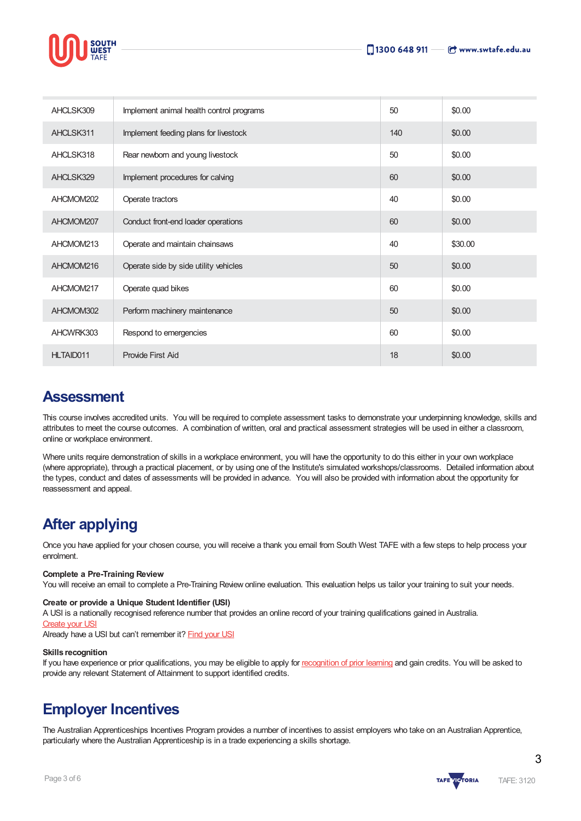



| AHCLSK309 | Implement animal health control programs | 50  | \$0.00  |
|-----------|------------------------------------------|-----|---------|
| AHCLSK311 | Implement feeding plans for livestock    | 140 | \$0.00  |
| AHCLSK318 | Rear newborn and young livestock         | 50  | \$0.00  |
| AHCLSK329 | Implement procedures for calving         | 60  | \$0.00  |
| AHCMOM202 | Operate tractors                         | 40  | \$0.00  |
| AHCMOM207 | Conduct front-end loader operations      | 60  | \$0.00  |
| AHCMOM213 | Operate and maintain chainsaws           | 40  | \$30.00 |
| AHCMOM216 | Operate side by side utility vehicles    | 50  | \$0.00  |
| AHCMOM217 | Operate quad bikes                       | 60  | \$0.00  |
| AHCMOM302 | Perform machinery maintenance            | 50  | \$0.00  |
| AHCWRK303 | Respond to emergencies                   | 60  | \$0.00  |
| HLTAID011 | Provide First Aid                        | 18  | \$0.00  |

### **Assessment**

This course involves accredited units. You will be required to complete assessment tasks to demonstrate your underpinning knowledge, skills and attributes to meet the course outcomes. A combination of written, oral and practical assessment strategies will be used in either a classroom, online or workplace environment.

Where units require demonstration of skills in a workplace environment, you will have the opportunity to do this either in your own workplace (where appropriate), through a practical placement, or by using one of the Institute's simulated workshops/classrooms. Detailed information about the types, conduct and dates of assessments will be provided in advance. You will also be provided with information about the opportunity for reassessment and appeal.

### **After applying**

Once you have applied for your chosen course, you will receive a thank you email from South West TAFE with a few steps to help process your enrolment.

#### **Complete a Pre-Training Review**

You will receive an email to complete a Pre-Training Review online evaluation. This evaluation helps us tailor your training to suit your needs.

#### **Create or provide a Unique Student Identifier (USI)**

A USI is a nationally recognised reference number that provides an online record of your training qualifications gained in Australia.

#### [Create](https://www.usi.gov.au/students/create-usi) your USI

Already have a USI but can't remember it? [Find](https://www.usi.gov.au/faqs/i-have-forgotten-my-usi) your USI

#### **Skills recognition**

If you have experience or prior qualifications, you may be eligible to apply for [recognition](https://www.swtafe.edu.au/study/how-to-apply/skills-recognition) of prior learning and gain credits. You will be asked to provide any relevant Statement of Attainment to support identified credits.

### **Employer Incentives**

The Australian Apprenticeships Incentives Program provides a number of incentives to assist employers who take on an Australian Apprentice, particularly where the Australian Apprenticeship is in a trade experiencing a skills shortage.

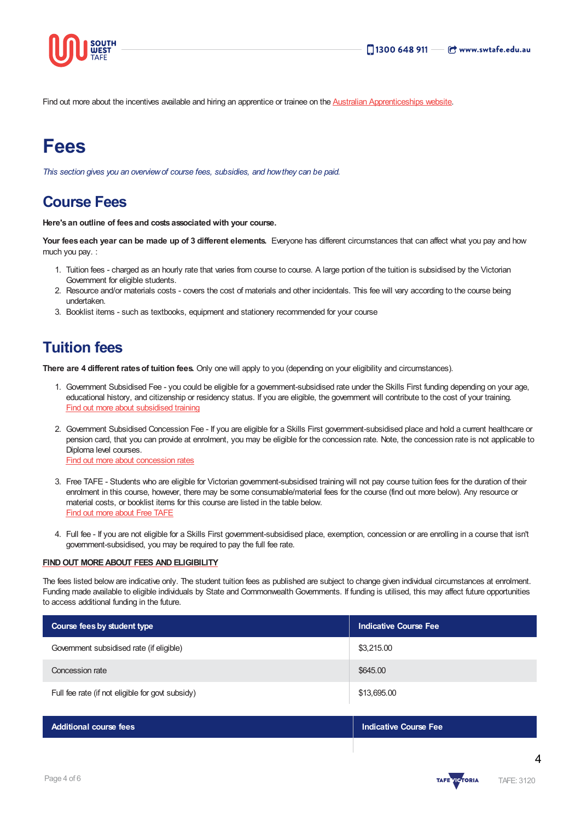

Find out more about the incentives available and hiring an apprentice or trainee on the Australian [Apprenticeships](https://www.australianapprenticeships.gov.au/) website.

# **Fees**

*This section gives you an overviewof course fees, subsidies, and howthey can be paid.*

### **Course Fees**

**Here's an outline of fees and costs associated with your course.**

**Your fees each year can be made up of 3 different elements.** Everyone has different circumstances that can affect what you pay and how much you pay. :

- 1. Tuition fees charged as an hourly rate that varies from course to course. A large portion of the tuition is subsidised by the Victorian Government for eligible students.
- 2. Resource and/or materials costs covers the cost of materials and other incidentals. This fee will vary according to the course being undertaken.
- 3. Booklist items such as textbooks, equipment and stationery recommended for your course

### **Tuition fees**

**There are 4 different ratesof tuition fees.** Only one will apply to you (depending on your eligibility and circumstances).

- 1. Government Subsidised Fee you could be eligible for a government-subsidised rate under the Skills First funding depending on your age, educational history, and citizenship or residency status. If you are eligible, the government will contribute to the cost of your training. Find out more about [subsidised](https://www.swtafe.edu.au/study/fees-free-tafe/access-govt-subsidies/victorian-students) training
- 2. Government Subsidised Concession Fee If you are eligible for a Skills First government-subsidised place and hold a current healthcare or pension card, that you can provide at enrolment, you may be eligible for the concession rate. Note, the concession rate is not applicable to Diploma level courses. Find out more about [concession](https://www.swtafe.edu.au/study/fees-free-tafe/concession) rates
- 3. Free TAFE Students who are eligible for Victorian government-subsidised training will not pay course tuition fees for the duration of their enrolment in this course, however, there may be some consumable/material fees for the course (find out more below). Any resource or material costs, or booklist items for this course are listed in the table below. Find out more [about](https://www.swtafe.edu.au/courses/free-tafe-courses) Free TAFE
- 4. Full fee If you are not eligible for a Skills First government-subsidised place, exemption, concession or are enrolling in a course that isn't government-subsidised, you may be required to pay the full fee rate.

#### **FINDOUT [MOREABOUT](https://www.swtafe.edu.au/study/fees-free-tafe) FEES AND ELIGIBILITY**

The fees listed below are indicative only. The student tuition fees as published are subject to change given individual circumstances at enrolment. Funding made available to eligible individuals by State and Commonwealth Governments. If funding is utilised, this may affect future opportunities to access additional funding in the future.

| Course fees by student type                      | <b>Indicative Course Fee</b> |  |
|--------------------------------------------------|------------------------------|--|
| Government subsidised rate (if eligible)         | \$3,215.00                   |  |
| Concession rate                                  | \$645.00                     |  |
| Full fee rate (if not eligible for govt subsidy) | \$13,695.00                  |  |

| <b>Additional course fees</b> | Indicative Course Fee |
|-------------------------------|-----------------------|
|                               |                       |

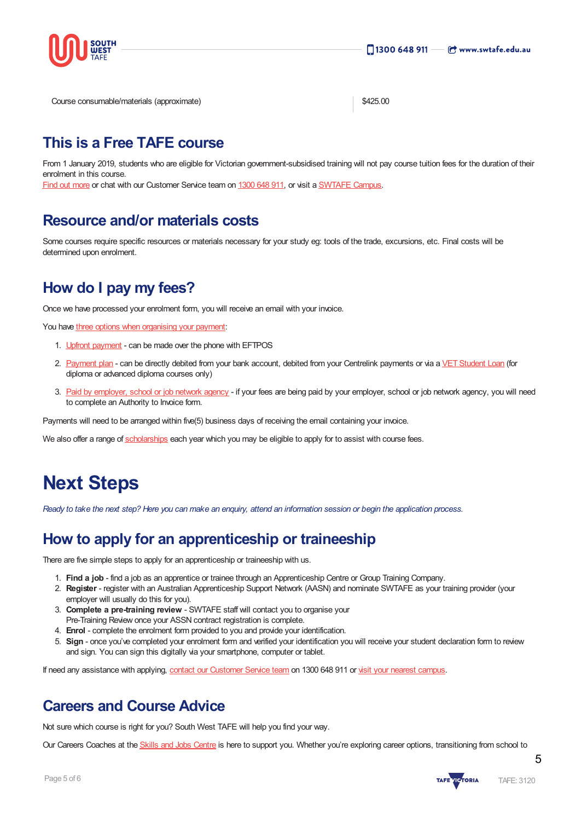

Course consumable/materials (approximate)  $$425.00$ 

### **This is a Free TAFE course**

From 1 January 2019, students who are eligible for Victorian government-subsidised training will not pay course tuition fees for the duration of their enrolment in this course.

Find out [more](https://www.swtafe.edu.au/courses/free-tafe-courses) or chat with our Customer Service team on [1300](https://www.swtafe.edu.au/about-us/contact-us) 648 911, or visit a [SWTAFE](https://www.swtafe.edu.au/about-us/contact-us) Campus.

### **Resource and/or materials costs**

Some courses require specific resources or materials necessary for your study eg: tools of the trade, excursions, etc. Final costs will be determined upon enrolment.

### **How do I pay my fees?**

Once we have processed your enrolment form, you will receive an email with your invoice.

You have three options when [organising](https://www.swtafe.edu.au/study/fees-free-tafe/payment-options) your payment:

- 1. Upfront [payment](https://www.swtafe.edu.au/study/fees-free-tafe/payment-options) can be made over the phone with EFTPOS
- 2. [Payment](https://www.swtafe.edu.au/study/fees-free-tafe/payment-options) plan can be directly debited from your bank account, debited from your Centrelink payments or via a VET Student Loan (for diploma or advanced diploma courses only)
- 3. Paid by [employer,](https://www.swtafe.edu.au/study/fees-free-tafe/payment-options) school or job network agency if your fees are being paid by your employer, school or job network agency, you will need to complete an Authority to Invoice form.

Payments will need to be arranged within five(5) business days of receiving the email containing your invoice.

We also offer a range of [scholarships](https://www.swtafe.edu.au/study/scholarships) each year which you may be eligible to apply for to assist with course fees.

# **Next Steps**

Ready to take the next step? Here you can make an enquiry, attend an information session or begin the application process.

### **How to apply for an apprenticeship or traineeship**

There are five simple steps to apply for an apprenticeship or traineeship with us.

- 1. **Find a job** find a job as an apprentice or trainee through an Apprenticeship Centre or Group Training Company.
- 2. **Register** register with an Australian Apprenticeship Support Network (AASN) and nominate SWTAFE as your training provider (your employer will usually do this for you).
- 3. **Complete a pre-training review** SWTAFE staff will contact you to organise your Pre-Training Review once your ASSN contract registration is complete.
- 4. **Enrol** complete the enrolment form provided to you and provide your identification.
- 5. **Sign** once you've completed your enrolment form and verified your identification you will receive your student declaration form to review and sign. You can sign this digitally via your smartphone, computer or tablet.

If need any assistance with applying, contact our [Customer](https://www.swtafe.edu.au/about-us/contact-us) Service team on 1300 648 911 or visit your nearest [campus](https://www.swtafe.edu.au/about-us/our-campuses).

### **Careers and Course Advice**

Not sure which course is right for you? South West TAFE will help you find your way.

Our Careers Coaches at the Skills and Jobs [Centre](https://www.swskillsandjobscentre.com.au/) is here to support you. Whether you're exploring career options, transitioning from school to



5